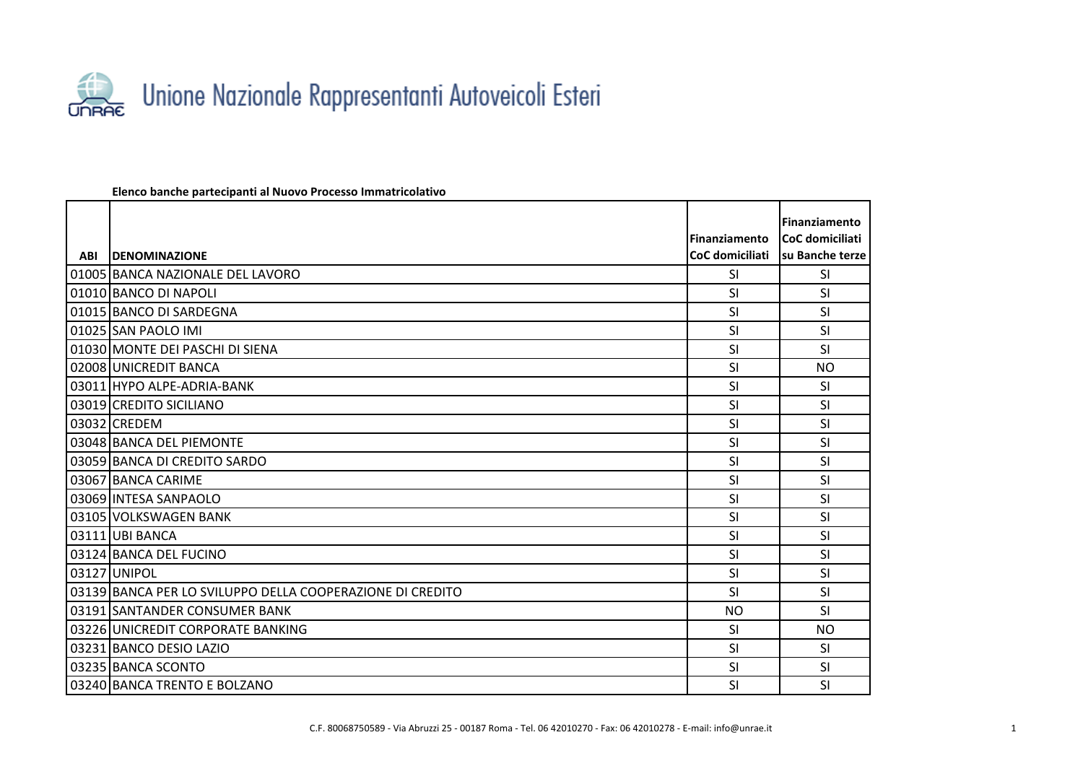

## **Elenco banche partecipanti al Nuovo Processo Immatricolativo**

|            |                                                           |                      | <b>Finanziamento</b> |
|------------|-----------------------------------------------------------|----------------------|----------------------|
|            |                                                           | <b>Finanziamento</b> | CoC domiciliati      |
| <b>ABI</b> | <b>IDENOMINAZIONE</b>                                     | CoC domiciliati      | Isu Banche terze     |
|            | 01005 BANCA NAZIONALE DEL LAVORO                          | <b>SI</b>            | <b>SI</b>            |
|            | 01010 BANCO DI NAPOLI                                     | <b>SI</b>            | SI                   |
|            | 01015 BANCO DI SARDEGNA                                   | <b>SI</b>            | <b>SI</b>            |
|            | 01025 SAN PAOLO IMI                                       | SI                   | SI                   |
|            | 01030 MONTE DEI PASCHI DI SIENA                           | <b>SI</b>            | SI                   |
|            | 02008 UNICREDIT BANCA                                     | SI                   | <b>NO</b>            |
|            | 03011 HYPO ALPE-ADRIA-BANK                                | SI                   | SI                   |
|            | 03019 CREDITO SICILIANO                                   | SI                   | SI                   |
|            | 03032 CREDEM                                              | SI                   | SI                   |
|            | 03048 BANCA DEL PIEMONTE                                  | SI                   | <b>SI</b>            |
|            | 03059 BANCA DI CREDITO SARDO                              | SI                   | SI                   |
|            | 03067 BANCA CARIME                                        | SI                   | <b>SI</b>            |
|            | 03069 INTESA SANPAOLO                                     | SI                   | SI                   |
|            | 03105 VOLKSWAGEN BANK                                     | <b>SI</b>            | SI                   |
|            | 03111 UBI BANCA                                           | SI                   | SI                   |
|            | 03124 BANCA DEL FUCINO                                    | SI                   | SI                   |
|            | 03127 UNIPOL                                              | <b>SI</b>            | SI                   |
|            | 03139 BANCA PER LO SVILUPPO DELLA COOPERAZIONE DI CREDITO | <b>SI</b>            | SI                   |
|            | 03191 SANTANDER CONSUMER BANK                             | <b>NO</b>            | SI                   |
|            | 03226 UNICREDIT CORPORATE BANKING                         | SI                   | N <sub>O</sub>       |
|            | 03231 BANCO DESIO LAZIO                                   | SI                   | <b>SI</b>            |
|            | 03235 BANCA SCONTO                                        | SI                   | <b>SI</b>            |
|            | 03240 BANCA TRENTO E BOLZANO                              | SI                   | SI                   |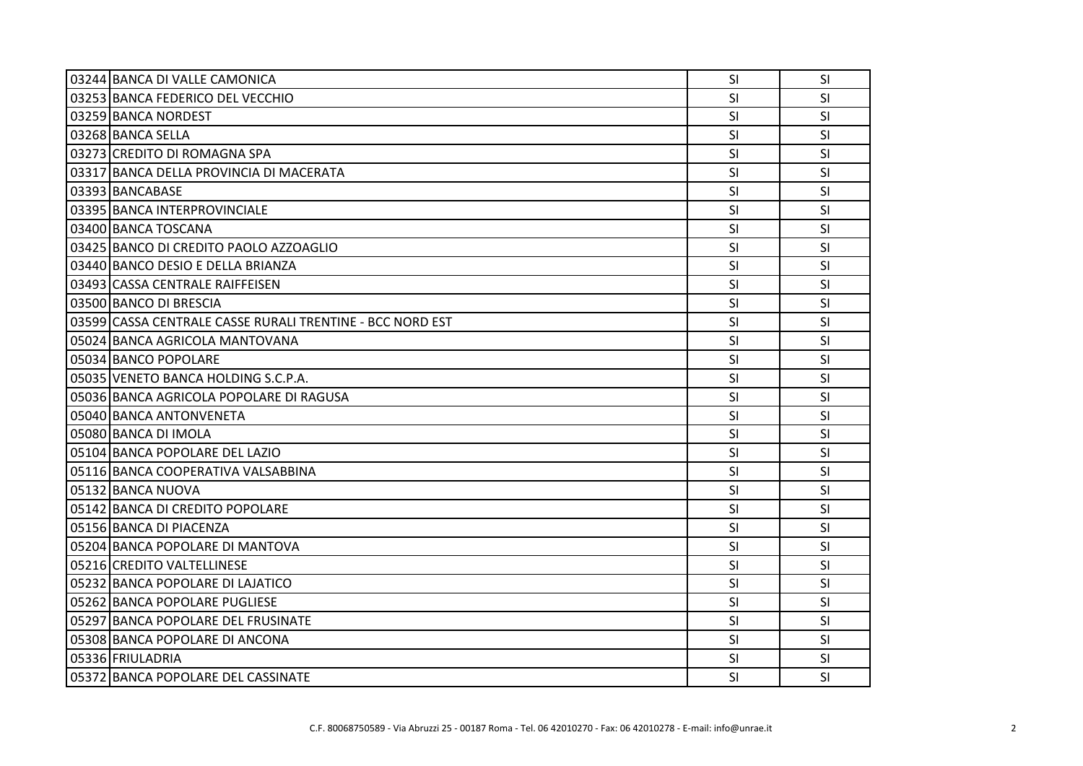| 03244 BANCA DI VALLE CAMONICA                             | SI        | <b>SI</b> |
|-----------------------------------------------------------|-----------|-----------|
| 03253 BANCA FEDERICO DEL VECCHIO                          | SI        | <b>SI</b> |
| 03259 BANCA NORDEST                                       | SI        | SI        |
| 03268 BANCA SELLA                                         | <b>SI</b> | <b>SI</b> |
| 03273 CREDITO DI ROMAGNA SPA                              | SI        | <b>SI</b> |
| 03317 BANCA DELLA PROVINCIA DI MACERATA                   | <b>SI</b> | <b>SI</b> |
| 03393 BANCABASE                                           | SI        | SI        |
| 03395 BANCA INTERPROVINCIALE                              | <b>SI</b> | <b>SI</b> |
| 03400 BANCA TOSCANA                                       | SI        | <b>SI</b> |
| 03425 BANCO DI CREDITO PAOLO AZZOAGLIO                    | <b>SI</b> | <b>SI</b> |
| 03440 BANCO DESIO E DELLA BRIANZA                         | SI        | SI        |
| 03493 CASSA CENTRALE RAIFFEISEN                           | SI        | <b>SI</b> |
| 03500 BANCO DI BRESCIA                                    | SI        | <b>SI</b> |
| 03599 CASSA CENTRALE CASSE RURALI TRENTINE - BCC NORD EST | SI        | <b>SI</b> |
| 05024 BANCA AGRICOLA MANTOVANA                            | SI        | SI        |
| 05034 BANCO POPOLARE                                      | SI        | SI        |
| 05035 VENETO BANCA HOLDING S.C.P.A.                       | SI        | <b>SI</b> |
| 05036 BANCA AGRICOLA POPOLARE DI RAGUSA                   | SI        | <b>SI</b> |
| 05040 BANCA ANTONVENETA                                   | SI        | <b>SI</b> |
| 05080 BANCA DI IMOLA                                      | <b>SI</b> | <b>SI</b> |
| 05104 BANCA POPOLARE DEL LAZIO                            | SI        | SI        |
| 05116 BANCA COOPERATIVA VALSABBINA                        | SI        | <b>SI</b> |
| 05132 BANCA NUOVA                                         | SI        | SI        |
| 05142 BANCA DI CREDITO POPOLARE                           | SI        | <b>SI</b> |
| 05156 BANCA DI PIACENZA                                   | <b>SI</b> | <b>SI</b> |
| 05204 BANCA POPOLARE DI MANTOVA                           | SI        | SI        |
| 05216 CREDITO VALTELLINESE                                | <b>SI</b> | <b>SI</b> |
| 05232 BANCA POPOLARE DI LAJATICO                          | <b>SI</b> | <b>SI</b> |
| 05262 BANCA POPOLARE PUGLIESE                             | <b>SI</b> | <b>SI</b> |
| 05297 BANCA POPOLARE DEL FRUSINATE                        | SI        | SI        |
| 05308 BANCA POPOLARE DI ANCONA                            | SI        | SI        |
| 05336 FRIULADRIA                                          | SI        | SI        |
| 05372 BANCA POPOLARE DEL CASSINATE                        | SI        | <b>SI</b> |
|                                                           |           |           |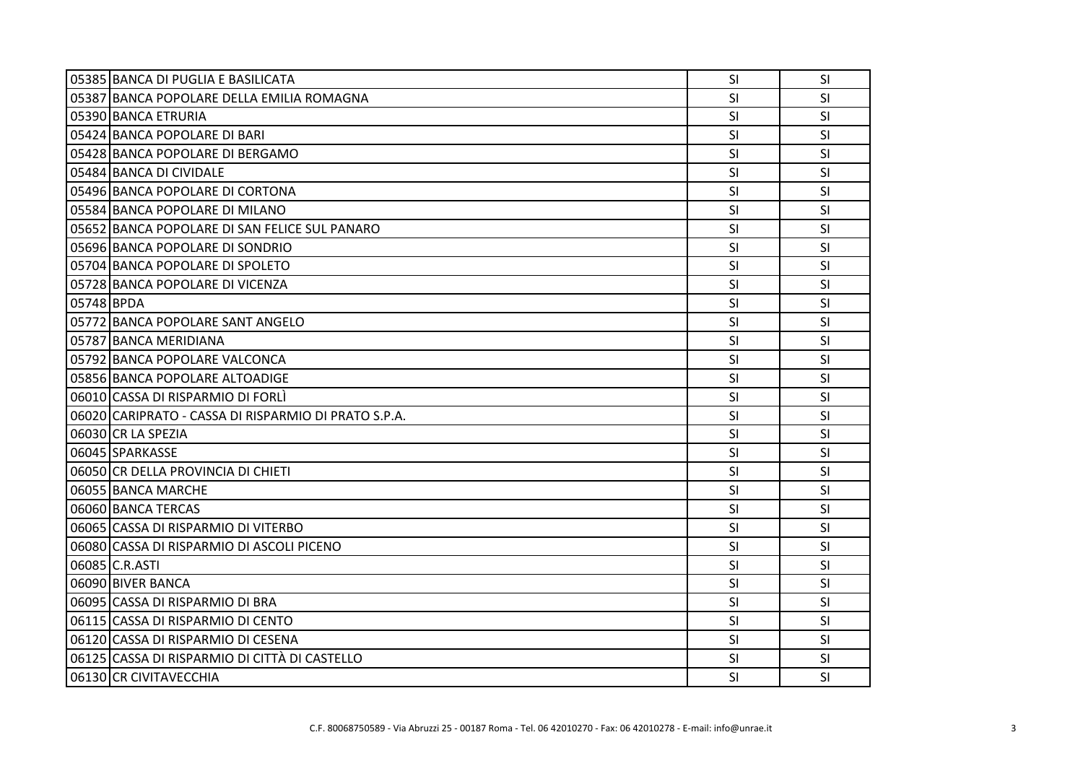|            | 05385 BANCA DI PUGLIA E BASILICATA                   | SI        | <b>SI</b> |
|------------|------------------------------------------------------|-----------|-----------|
|            | 05387 BANCA POPOLARE DELLA EMILIA ROMAGNA            | SI        | SI        |
|            | 05390 BANCA ETRURIA                                  | <b>SI</b> | <b>SI</b> |
|            | 05424 BANCA POPOLARE DI BARI                         | SI        | SI        |
|            | 05428 BANCA POPOLARE DI BERGAMO                      | <b>SI</b> | <b>SI</b> |
|            | 05484 BANCA DI CIVIDALE                              | <b>SI</b> | <b>SI</b> |
|            | 05496 BANCA POPOLARE DI CORTONA                      | SI        | SI        |
|            | 05584 BANCA POPOLARE DI MILANO                       | SI        | SI        |
|            | 05652 BANCA POPOLARE DI SAN FELICE SUL PANARO        | <b>SI</b> | <b>SI</b> |
|            | 05696 BANCA POPOLARE DI SONDRIO                      | SI        | SI        |
|            | 05704 BANCA POPOLARE DI SPOLETO                      | SI        | <b>SI</b> |
|            | 05728 BANCA POPOLARE DI VICENZA                      | <b>SI</b> | <b>SI</b> |
| 05748 BPDA |                                                      | SI        | <b>SI</b> |
|            | 05772 BANCA POPOLARE SANT ANGELO                     | SI        | SI        |
|            | 05787 BANCA MERIDIANA                                | <b>SI</b> | <b>SI</b> |
|            | 05792 BANCA POPOLARE VALCONCA                        | SI        | <b>SI</b> |
|            | 05856 BANCA POPOLARE ALTOADIGE                       | <b>SI</b> | <b>SI</b> |
|            | 06010 CASSA DI RISPARMIO DI FORLÌ                    | SI        | SI        |
|            | 06020 CARIPRATO - CASSA DI RISPARMIO DI PRATO S.P.A. | SI        | <b>SI</b> |
|            | 06030 CR LA SPEZIA                                   | SI        | <b>SI</b> |
|            | 06045 SPARKASSE                                      | <b>SI</b> | <b>SI</b> |
|            | 06050 CR DELLA PROVINCIA DI CHIETI                   | SI        | <b>SI</b> |
|            | 06055 BANCA MARCHE                                   | SI        | SI        |
|            | 06060 BANCA TERCAS                                   | <b>SI</b> | <b>SI</b> |
|            | 06065 CASSA DI RISPARMIO DI VITERBO                  | <b>SI</b> | <b>SI</b> |
|            | 06080 CASSA DI RISPARMIO DI ASCOLI PICENO            | <b>SI</b> | <b>SI</b> |
|            | 06085 C.R.ASTI                                       | SI        | <b>SI</b> |
|            | 06090 BIVER BANCA                                    | <b>SI</b> | SI.       |
|            | 06095 CASSA DI RISPARMIO DI BRA                      | SI        | <b>SI</b> |
|            | 06115 CASSA DI RISPARMIO DI CENTO                    | <b>SI</b> | <b>SI</b> |
|            | 06120 CASSA DI RISPARMIO DI CESENA                   | <b>SI</b> | <b>SI</b> |
|            | 06125 CASSA DI RISPARMIO DI CITTÀ DI CASTELLO        | SI        | <b>SI</b> |
|            | 06130 CR CIVITAVECCHIA                               | SI        | <b>SI</b> |
|            |                                                      |           |           |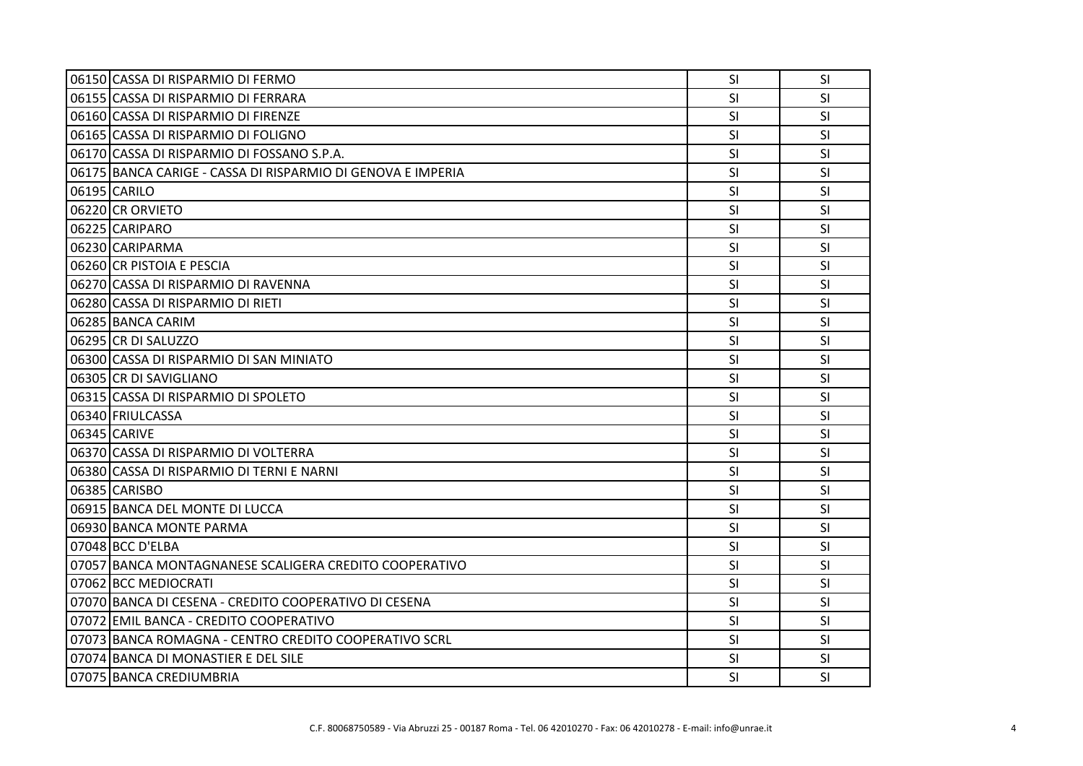| 06150 CASSA DI RISPARMIO DI FERMO                           | SI        | <b>SI</b> |
|-------------------------------------------------------------|-----------|-----------|
| 06155 CASSA DI RISPARMIO DI FERRARA                         | SI        | SI        |
| 06160 CASSA DI RISPARMIO DI FIRENZE                         | <b>SI</b> | <b>SI</b> |
| 06165 CASSA DI RISPARMIO DI FOLIGNO                         | SI        | SI        |
| 06170 CASSA DI RISPARMIO DI FOSSANO S.P.A.                  | SI        | SI        |
| 06175 BANCA CARIGE - CASSA DI RISPARMIO DI GENOVA E IMPERIA | SI        | <b>SI</b> |
| 06195 CARILO                                                | <b>SI</b> | SI        |
| 06220 CR ORVIETO                                            | SI        | SI        |
| 06225 CARIPARO                                              | SI        | <b>SI</b> |
| 06230 CARIPARMA                                             | SI        | <b>SI</b> |
| 06260 CR PISTOIA E PESCIA                                   | SI        | SI        |
| 06270 CASSA DI RISPARMIO DI RAVENNA                         | SI        | SI        |
| 06280 CASSA DI RISPARMIO DI RIETI                           | <b>SI</b> | SI        |
| 06285 BANCA CARIM                                           | SI        | <b>SI</b> |
| 06295 CR DI SALUZZO                                         | SI        | SI        |
| 06300 CASSA DI RISPARMIO DI SAN MINIATO                     | SI        | SI        |
| 06305 CR DI SAVIGLIANO                                      | <b>SI</b> | <b>SI</b> |
| 06315 CASSA DI RISPARMIO DI SPOLETO                         | SI        | SI        |
| 06340 FRIULCASSA                                            | SI        | <b>SI</b> |
| 06345 CARIVE                                                | <b>SI</b> | SI        |
| 06370 CASSA DI RISPARMIO DI VOLTERRA                        | <b>SI</b> | SI        |
| 06380 CASSA DI RISPARMIO DI TERNI E NARNI                   | SI        | SI        |
| 06385 CARISBO                                               | SI        | <b>SI</b> |
| 06915 BANCA DEL MONTE DI LUCCA                              | SI        | SI        |
| 06930 BANCA MONTE PARMA                                     | SI        | <b>SI</b> |
| 07048 BCC D'ELBA                                            | SI        | SI        |
| 07057 BANCA MONTAGNANESE SCALIGERA CREDITO COOPERATIVO      | <b>SI</b> | SI        |
| 07062 BCC MEDIOCRATI                                        | SI        | <b>SI</b> |
| l07070lBANCA DI CESENA - CREDITO COOPERATIVO DI CESENA      | <b>SI</b> | SI        |
| 07072 EMIL BANCA - CREDITO COOPERATIVO                      | SI        | SI        |
| 07073 BANCA ROMAGNA - CENTRO CREDITO COOPERATIVO SCRL       | <b>SI</b> | SI        |
| 07074 BANCA DI MONASTIER E DEL SILE                         | SI        | SI        |
| 07075 BANCA CREDIUMBRIA                                     | SI        | SI        |
|                                                             |           |           |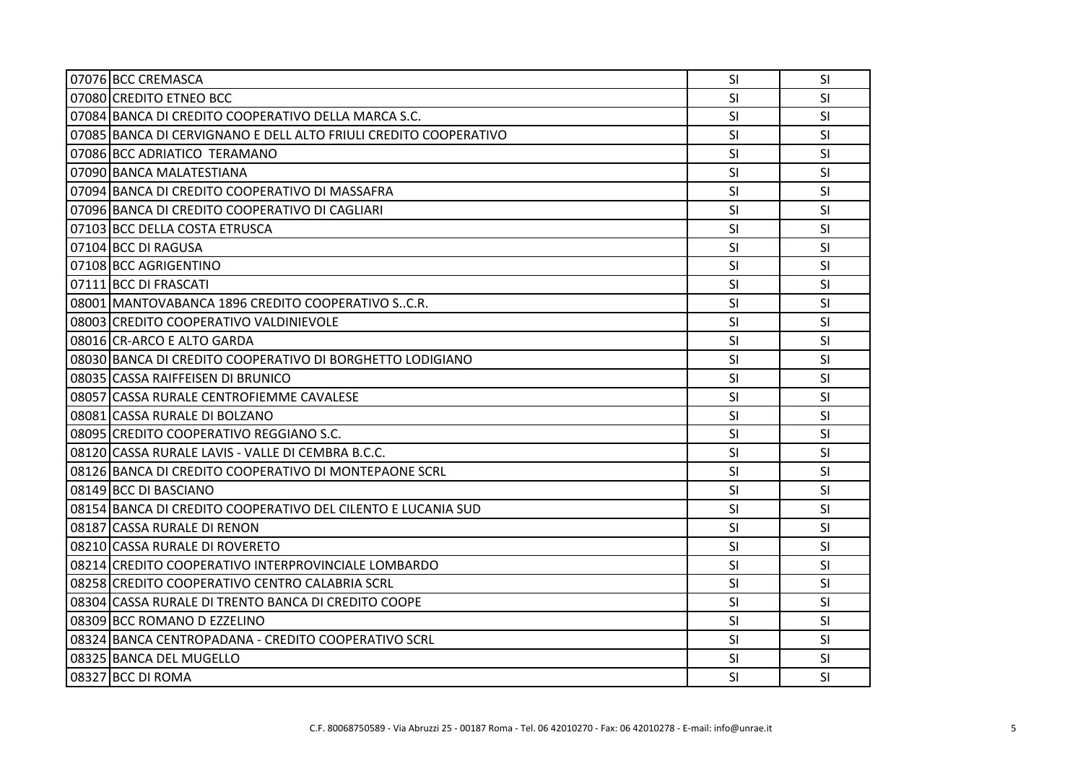| 07076 BCC CREMASCA                                               | SI.       | <b>SI</b> |
|------------------------------------------------------------------|-----------|-----------|
| 07080 CREDITO ETNEO BCC                                          | <b>SI</b> | <b>SI</b> |
| 07084 BANCA DI CREDITO COOPERATIVO DELLA MARCA S.C.              | <b>SI</b> | SI        |
| 07085 BANCA DI CERVIGNANO E DELL ALTO FRIULI CREDITO COOPERATIVO | <b>SI</b> | SI        |
| 07086 BCC ADRIATICO TERAMANO                                     | <b>SI</b> | <b>SI</b> |
| 07090 BANCA MALATESTIANA                                         | <b>SI</b> | <b>SI</b> |
| 07094 BANCA DI CREDITO COOPERATIVO DI MASSAFRA                   | SI        | <b>SI</b> |
| 07096 BANCA DI CREDITO COOPERATIVO DI CAGLIARI                   | SI        | SI        |
| 07103 BCC DELLA COSTA ETRUSCA                                    | SI        | SI        |
| 07104 BCC DI RAGUSA                                              | <b>SI</b> | SI        |
| 07108 BCC AGRIGENTINO                                            | <b>SI</b> | <b>SI</b> |
| 07111 BCC DI FRASCATI                                            | <b>SI</b> | SI        |
| 08001 MANTOVABANCA 1896 CREDITO COOPERATIVO SC.R.                | SI        | <b>SI</b> |
| 08003 CREDITO COOPERATIVO VALDINIEVOLE                           | SI        | <b>SI</b> |
| 08016 CR-ARCO E ALTO GARDA                                       | <b>SI</b> | <b>SI</b> |
| 08030 BANCA DI CREDITO COOPERATIVO DI BORGHETTO LODIGIANO        | SI        | SI        |
| 08035 CASSA RAIFFEISEN DI BRUNICO                                | <b>SI</b> | <b>SI</b> |
| 08057 CASSA RURALE CENTROFIEMME CAVALESE                         | <b>SI</b> | <b>SI</b> |
| 08081 CASSA RURALE DI BOLZANO                                    | SI        | <b>SI</b> |
| 08095 CREDITO COOPERATIVO REGGIANO S.C.                          | <b>SI</b> | SI        |
| 08120 CASSA RURALE LAVIS - VALLE DI CEMBRA B.C.C.                | <b>SI</b> | <b>SI</b> |
| 08126 BANCA DI CREDITO COOPERATIVO DI MONTEPAONE SCRL            | SI        | SI        |
| 08149 BCC DI BASCIANO                                            | SI        | SI        |
| 08154 BANCA DI CREDITO COOPERATIVO DEL CILENTO E LUCANIA SUD     | SI        | SI        |
| 08187 CASSA RURALE DI RENON                                      | <b>SI</b> | <b>SI</b> |
| 08210 CASSA RURALE DI ROVERETO                                   | SI        | <b>SI</b> |
| 08214 CREDITO COOPERATIVO INTERPROVINCIALE LOMBARDO              | SI        | <b>SI</b> |
| 08258 CREDITO COOPERATIVO CENTRO CALABRIA SCRL                   | SI        | SI        |
| 08304 CASSA RURALE DI TRENTO BANCA DI CREDITO COOPE              | <b>SI</b> | <b>SI</b> |
| 08309 BCC ROMANO D EZZELINO                                      | SI        | SI        |
| 08324 BANCA CENTROPADANA - CREDITO COOPERATIVO SCRL              | SI        | <b>SI</b> |
| 08325 BANCA DEL MUGELLO                                          | SI        | <b>SI</b> |
| 08327 BCC DI ROMA                                                | SI        | <b>SI</b> |
|                                                                  |           |           |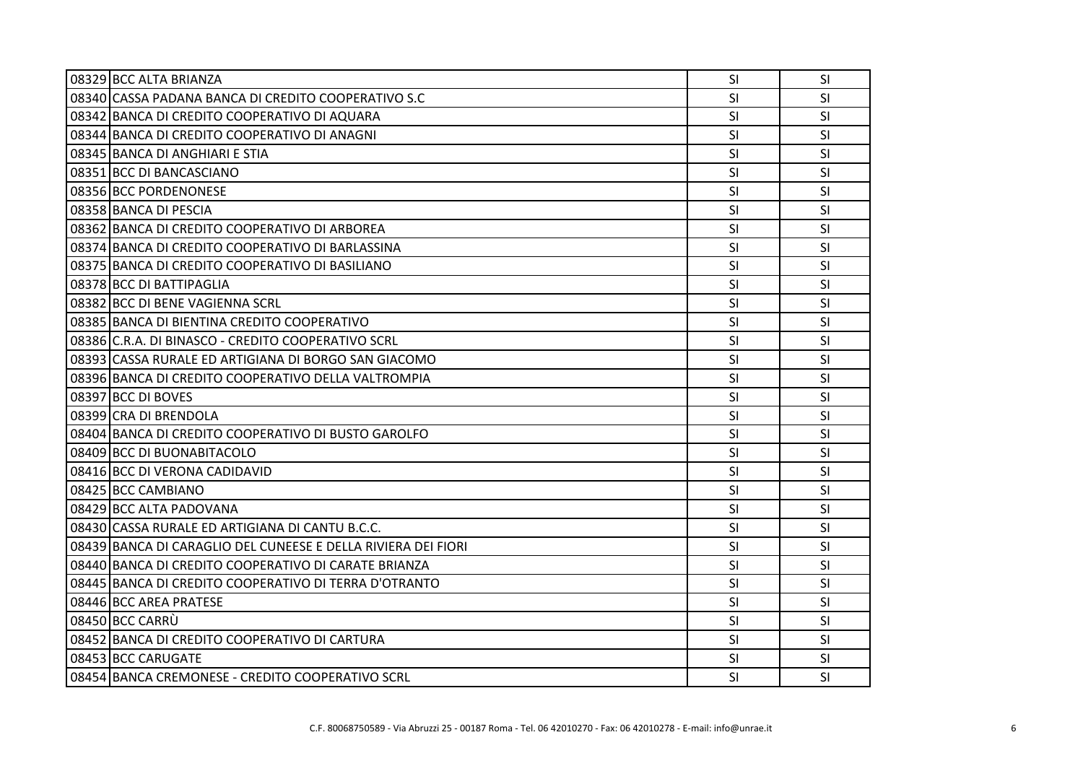| 08329 BCC ALTA BRIANZA                                        | SI        | <b>SI</b> |
|---------------------------------------------------------------|-----------|-----------|
| 08340 CASSA PADANA BANCA DI CREDITO COOPERATIVO S.C           | <b>SI</b> | <b>SI</b> |
| 08342 BANCA DI CREDITO COOPERATIVO DI AQUARA                  | SI        | SI        |
| 08344 BANCA DI CREDITO COOPERATIVO DI ANAGNI                  | SI        | <b>SI</b> |
| 08345 BANCA DI ANGHIARI E STIA                                | <b>SI</b> | <b>SI</b> |
| 08351 BCC DI BANCASCIANO                                      | SI        | SI        |
| 08356 BCC PORDENONESE                                         | SI        | SI        |
| 08358 BANCA DI PESCIA                                         | SI        | <b>SI</b> |
| 08362 BANCA DI CREDITO COOPERATIVO DI ARBOREA                 | SI        | SI        |
| 08374 BANCA DI CREDITO COOPERATIVO DI BARLASSINA              | <b>SI</b> | SI        |
| 08375 BANCA DI CREDITO COOPERATIVO DI BASILIANO               | SI        | SI        |
| 08378 BCC DI BATTIPAGLIA                                      | <b>SI</b> | SI        |
| 08382 BCC DI BENE VAGIENNA SCRL                               | SI        | SI        |
| 08385 BANCA DI BIENTINA CREDITO COOPERATIVO                   | SI        | SI        |
| 08386 C.R.A. DI BINASCO - CREDITO COOPERATIVO SCRL            | SI        | SI        |
| 08393 CASSA RURALE ED ARTIGIANA DI BORGO SAN GIACOMO          | <b>SI</b> | SI        |
| 08396 BANCA DI CREDITO COOPERATIVO DELLA VALTROMPIA           | SI        | SI        |
| 08397 BCC DI BOVES                                            | SI        | <b>SI</b> |
| 08399 CRA DI BRENDOLA                                         | SI        | <b>SI</b> |
| 08404 BANCA DI CREDITO COOPERATIVO DI BUSTO GAROLFO           | SI        | SI        |
| 08409 BCC DI BUONABITACOLO                                    | SI        | SI        |
| 08416 BCC DI VERONA CADIDAVID                                 | <b>SI</b> | <b>SI</b> |
| 08425 BCC CAMBIANO                                            | SI        | SI        |
| 08429 BCC ALTA PADOVANA                                       | SI        | SI        |
| 08430 CASSA RURALE ED ARTIGIANA DI CANTU B.C.C.               | SI        | SI        |
| 08439 BANCA DI CARAGLIO DEL CUNEESE E DELLA RIVIERA DEI FIORI | <b>SI</b> | SI        |
| 08440 BANCA DI CREDITO COOPERATIVO DI CARATE BRIANZA          | <b>SI</b> | SI        |
| 08445 BANCA DI CREDITO COOPERATIVO DI TERRA D'OTRANTO         | SI        | SI        |
| 08446 BCC AREA PRATESE                                        | SI        | <b>SI</b> |
| 08450 BCC CARRU                                               | SI        | <b>SI</b> |
| 08452 BANCA DI CREDITO COOPERATIVO DI CARTURA                 | SI        | SI        |
| 08453 BCC CARUGATE                                            | <b>SI</b> | <b>SI</b> |
| 08454 BANCA CREMONESE - CREDITO COOPERATIVO SCRL              | <b>SI</b> | <b>SI</b> |
|                                                               |           |           |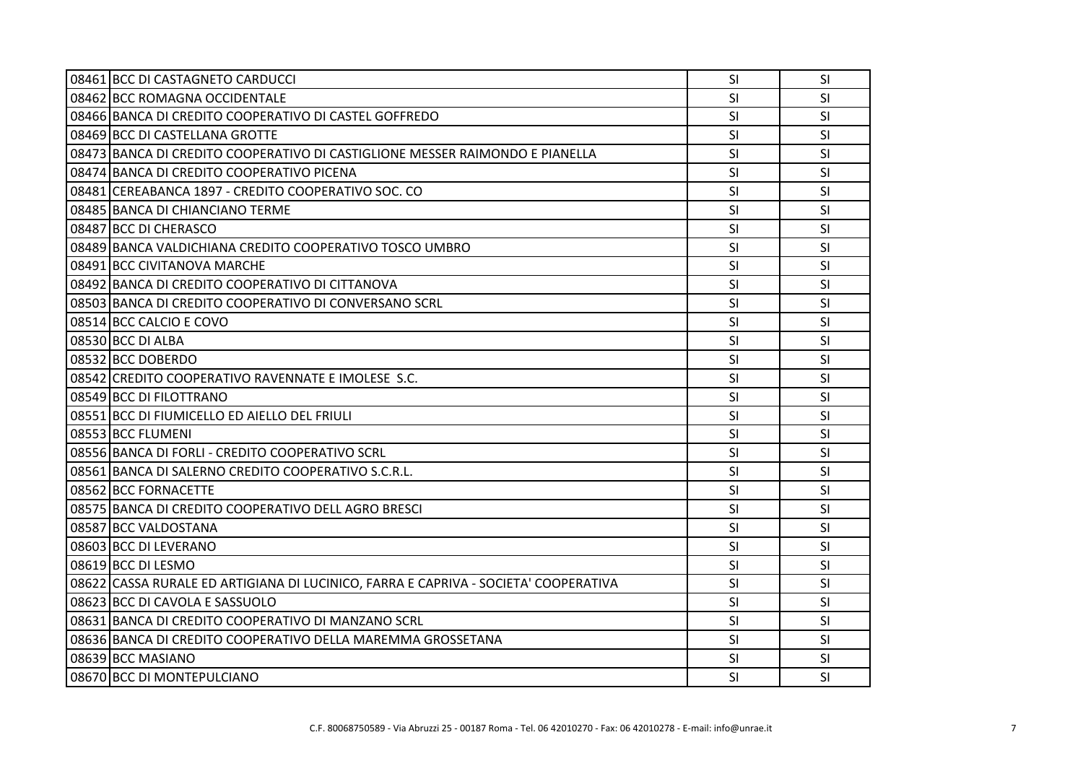| 08461 BCC DI CASTAGNETO CARDUCCI                                                    | SI        | SI        |
|-------------------------------------------------------------------------------------|-----------|-----------|
| 08462 BCC ROMAGNA OCCIDENTALE                                                       | <b>SI</b> | <b>SI</b> |
| 08466 BANCA DI CREDITO COOPERATIVO DI CASTEL GOFFREDO                               | SI        | <b>SI</b> |
| 08469 BCC DI CASTELLANA GROTTE                                                      | SI        | SI        |
| 08473 BANCA DI CREDITO COOPERATIVO DI CASTIGLIONE MESSER RAIMONDO E PIANELLA        | <b>SI</b> | SI        |
| 08474 BANCA DI CREDITO COOPERATIVO PICENA                                           | SI        | SI        |
| 08481 CEREABANCA 1897 - CREDITO COOPERATIVO SOC. CO                                 | SI        | <b>SI</b> |
| 08485 BANCA DI CHIANCIANO TERME                                                     | SI        | <b>SI</b> |
| 08487 BCC DI CHERASCO                                                               | <b>SI</b> | SI        |
| 08489 BANCA VALDICHIANA CREDITO COOPERATIVO TOSCO UMBRO                             | SI        | SI        |
| 08491 BCC CIVITANOVA MARCHE                                                         | SI        | <b>SI</b> |
| 08492 BANCA DI CREDITO COOPERATIVO DI CITTANOVA                                     | SI        | SI        |
| 08503 BANCA DI CREDITO COOPERATIVO DI CONVERSANO SCRL                               | <b>SI</b> | SI        |
| 08514 BCC CALCIO E COVO                                                             | <b>SI</b> | <b>SI</b> |
| 08530 BCC DI ALBA                                                                   | SI        | <b>SI</b> |
| 08532 BCC DOBERDO                                                                   | SI        | SI        |
| 08542 CREDITO COOPERATIVO RAVENNATE E IMOLESE S.C.                                  | <b>SI</b> | <b>SI</b> |
| 08549 BCC DI FILOTTRANO                                                             | SI        | <b>SI</b> |
| 08551 BCC DI FIUMICELLO ED AIELLO DEL FRIULI                                        | SI        | SI        |
| 08553 BCC FLUMENI                                                                   | <b>SI</b> | SI        |
| 08556 BANCA DI FORLI - CREDITO COOPERATIVO SCRL                                     | <b>SI</b> | <b>SI</b> |
| 08561 BANCA DI SALERNO CREDITO COOPERATIVO S.C.R.L.                                 | SI        | SI        |
| 08562 BCC FORNACETTE                                                                | SI        | SI        |
| 08575 BANCA DI CREDITO COOPERATIVO DELL AGRO BRESCI                                 | <b>SI</b> | SI        |
| 08587 BCC VALDOSTANA                                                                | SI        | <b>SI</b> |
| 08603 BCC DI LEVERANO                                                               | SI        | SI        |
| 08619 BCC DI LESMO                                                                  | SI        | SI        |
| 08622 CASSA RURALE ED ARTIGIANA DI LUCINICO, FARRA E CAPRIVA - SOCIETA' COOPERATIVA | <b>SI</b> | SI        |
| 08623 BCC DI CAVOLA E SASSUOLO                                                      | SI        | SI        |
| 08631 BANCA DI CREDITO COOPERATIVO DI MANZANO SCRL                                  | <b>SI</b> | <b>SI</b> |
| 08636 BANCA DI CREDITO COOPERATIVO DELLA MAREMMA GROSSETANA                         | SI        | SI        |
| 08639 BCC MASIANO                                                                   | <b>SI</b> | SI        |
| 08670 BCC DI MONTEPULCIANO                                                          | SI        | SI        |
|                                                                                     |           |           |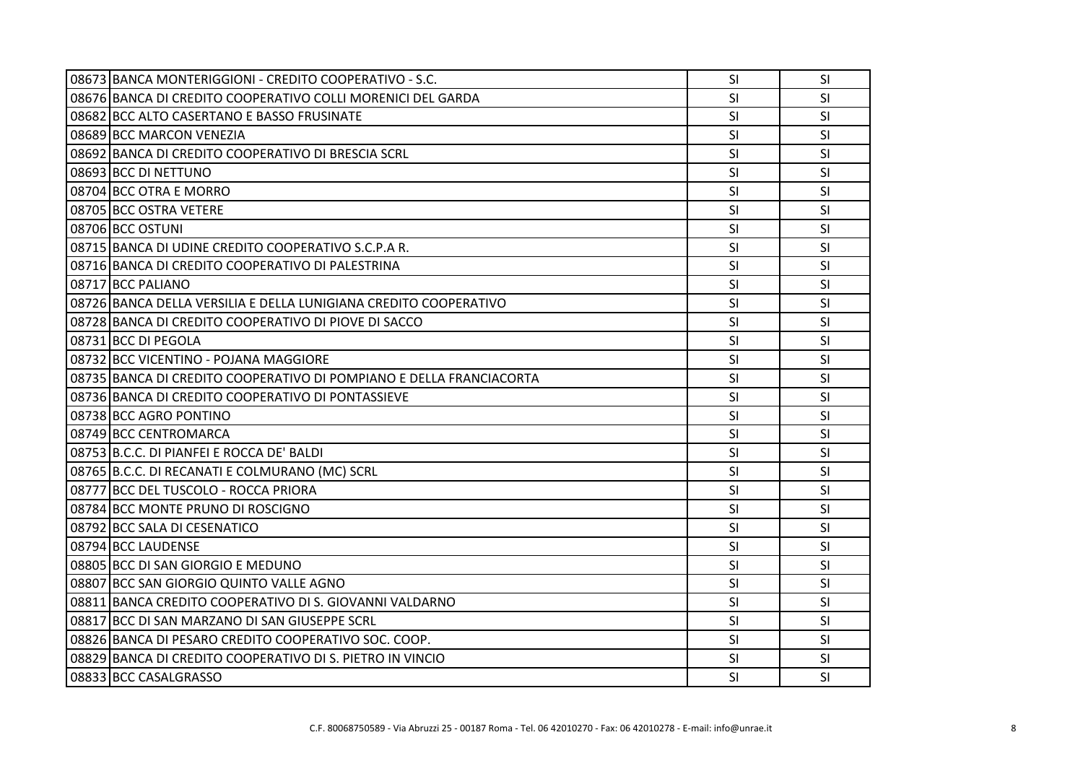| 08673 BANCA MONTERIGGIONI - CREDITO COOPERATIVO - S.C.              | <b>SI</b> | <b>SI</b> |
|---------------------------------------------------------------------|-----------|-----------|
| 08676 BANCA DI CREDITO COOPERATIVO COLLI MORENICI DEL GARDA         | SI        | SI        |
| 08682 BCC ALTO CASERTANO E BASSO FRUSINATE                          | <b>SI</b> | <b>SI</b> |
| 08689 BCC MARCON VENEZIA                                            | SI        | <b>SI</b> |
| 08692 BANCA DI CREDITO COOPERATIVO DI BRESCIA SCRL                  | <b>SI</b> | SI        |
| 08693 BCC DI NETTUNO                                                | SI        | SI        |
| 08704 BCC OTRA E MORRO                                              | <b>SI</b> | <b>SI</b> |
| 08705 BCC OSTRA VETERE                                              | <b>SI</b> | <b>SI</b> |
| 08706 BCC OSTUNI                                                    | SI        | <b>SI</b> |
| 08715 BANCA DI UDINE CREDITO COOPERATIVO S.C.P.A R.                 | SI        | SI        |
| 08716 BANCA DI CREDITO COOPERATIVO DI PALESTRINA                    | <b>SI</b> | <b>SI</b> |
| 08717 BCC PALIANO                                                   | <b>SI</b> | <b>SI</b> |
| 08726 BANCA DELLA VERSILIA E DELLA LUNIGIANA CREDITO COOPERATIVO    | <b>SI</b> | <b>SI</b> |
| 08728 BANCA DI CREDITO COOPERATIVO DI PIOVE DI SACCO                | SI        | SI        |
| 08731 BCC DI PEGOLA                                                 | SI        | <b>SI</b> |
| 08732 BCC VICENTINO - POJANA MAGGIORE                               | SI        | SI        |
| 08735 BANCA DI CREDITO COOPERATIVO DI POMPIANO E DELLA FRANCIACORTA | <b>SI</b> | <b>SI</b> |
| 08736 BANCA DI CREDITO COOPERATIVO DI PONTASSIEVE                   | SI        | SI        |
| 08738 BCC AGRO PONTINO                                              | <b>SI</b> | <b>SI</b> |
| 08749 BCC CENTROMARCA                                               | SI        | SI        |
| 08753 B.C.C. DI PIANFEI E ROCCA DE' BALDI                           | <b>SI</b> | <b>SI</b> |
| 08765 B.C.C. DI RECANATI E COLMURANO (MC) SCRL                      | SI        | SI        |
| 08777 BCC DEL TUSCOLO - ROCCA PRIORA                                | SI        | <b>SI</b> |
| 08784 BCC MONTE PRUNO DI ROSCIGNO                                   | SI        | SI        |
| 08792 BCC SALA DI CESENATICO                                        | <b>SI</b> | <b>SI</b> |
| 08794 BCC LAUDENSE                                                  | SI        | <b>SI</b> |
| 08805 BCC DI SAN GIORGIO E MEDUNO                                   | <b>SI</b> | <b>SI</b> |
| 08807 BCC SAN GIORGIO QUINTO VALLE AGNO                             | SI        | SI        |
| 08811 BANCA CREDITO COOPERATIVO DI S. GIOVANNI VALDARNO             | <b>SI</b> | <b>SI</b> |
| 08817 BCC DI SAN MARZANO DI SAN GIUSEPPE SCRL                       | SI        | <b>SI</b> |
| 08826 BANCA DI PESARO CREDITO COOPERATIVO SOC. COOP.                | SI        | SI        |
| 08829 BANCA DI CREDITO COOPERATIVO DI S. PIETRO IN VINCIO           | SI        | SI        |
| 08833 BCC CASALGRASSO                                               | <b>SI</b> | <b>SI</b> |
|                                                                     |           |           |